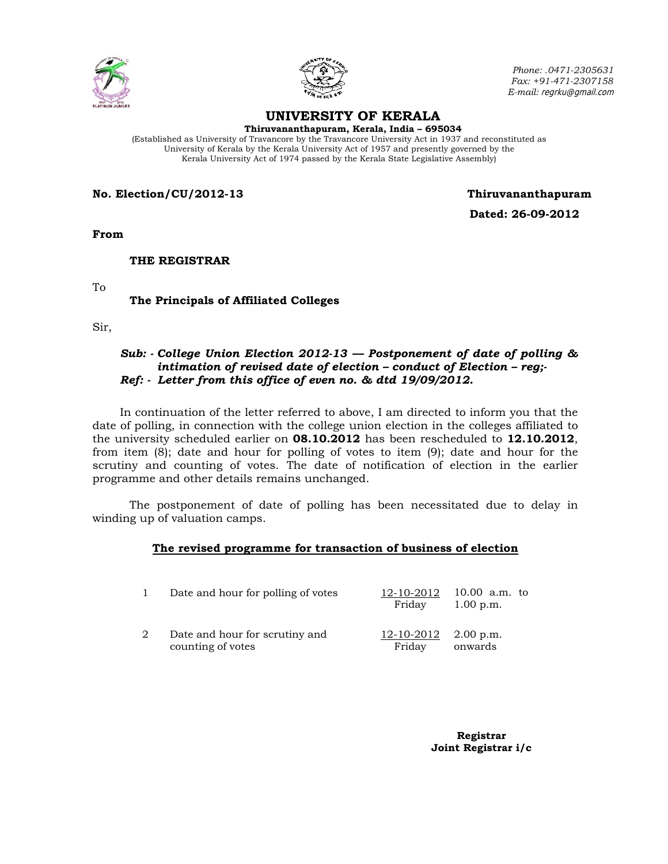



*Phone: .0471-2305631 Fax: +91-471-2307158 E-mail:* regrku@gmail.com

# **UNIVERSITY OF KERALA**

**Thiruvananthapuram, Kerala, India – 695034** 

(Established as University of Travancore by the Travancore University Act in 1937 and reconstituted as University of Kerala by the Kerala University Act of 1957 and presently governed by the Kerala University Act of 1974 passed by the Kerala State Legislative Assembly)

**No. Election/CU/2012-13 Thiruvananthapuram**

 **Dated: 26-09-2012** 

**From** 

 **THE REGISTRAR** 

To

## **The Principals of Affiliated Colleges**

Sir,

#### *Sub: - College Union Election 2012-13 –– Postponement of date of polling & intimation of revised date of election – conduct of Election – reg;- Ref: - Letter from this office of even no. & dtd 19/09/2012.*

In continuation of the letter referred to above, I am directed to inform you that the date of polling, in connection with the college union election in the colleges affiliated to the university scheduled earlier on **08.10.2012** has been rescheduled to **12.10.2012**, from item (8); date and hour for polling of votes to item (9); date and hour for the scrutiny and counting of votes. The date of notification of election in the earlier programme and other details remains unchanged.

 The postponement of date of polling has been necessitated due to delay in winding up of valuation camps.

### **The revised programme for transaction of business of election**

|   | Date and hour for polling of votes                  | 12-10-2012<br>Friday             | 10.00 a.m. to<br>$1.00$ p.m. |
|---|-----------------------------------------------------|----------------------------------|------------------------------|
| 2 | Date and hour for scrutiny and<br>counting of votes | $12-10-2012$ 2.00 p.m.<br>Friday | onwards                      |

 **Registrar Joint Registrar i/c**